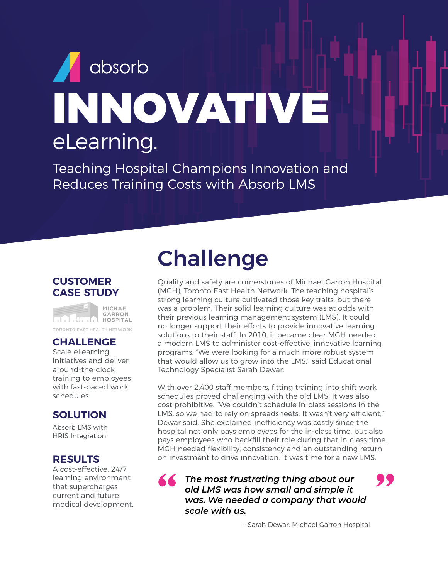# absorb INNOVATIVE eLearning.

Teaching Hospital Champions Innovation and Reduces Training Costs with Absorb LMS

#### **CUSTOMER CASE STUDY**



### **CHALLENGE**

Scale eLearning initiatives and deliver around-the-clock training to employees with fast-paced work schedules.

### **SOLUTION**

Absorb LMS with HRIS Integration.

### **RESULTS**

A cost-effective, 24/7 learning environment that supercharges current and future medical development.

### Challenge

Quality and safety are cornerstones of Michael Garron Hospital (MGH), Toronto East Health Network. The teaching hospital's strong learning culture cultivated those key traits, but there was a problem. Their solid learning culture was at odds with their previous learning management system (LMS). It could no longer support their efforts to provide innovative learning solutions to their staff. In 2010, it became clear MGH needed a modern LMS to administer cost-effective, innovative learning programs. "We were looking for a much more robust system that would allow us to grow into the LMS," said Educational Technology Specialist Sarah Dewar.

With over 2,400 staff members, fitting training into shift work schedules proved challenging with the old LMS. It was also cost prohibitive. "We couldn't schedule in-class sessions in the LMS, so we had to rely on spreadsheets. It wasn't very efficient," Dewar said. She explained inefficiency was costly since the hospital not only pays employees for the in-class time, but also pays employees who backfill their role during that in-class time. MGH needed flexibility, consistency and an outstanding return on investment to drive innovation. It was time for a new LMS.

**66** The most frustrating thing about our old LMS was how small and simple it was. We needed a company that would scale with us. *old LMS was how small and simple it was. We needed a company that would scale with us.*



– Sarah Dewar, Michael Garron Hospital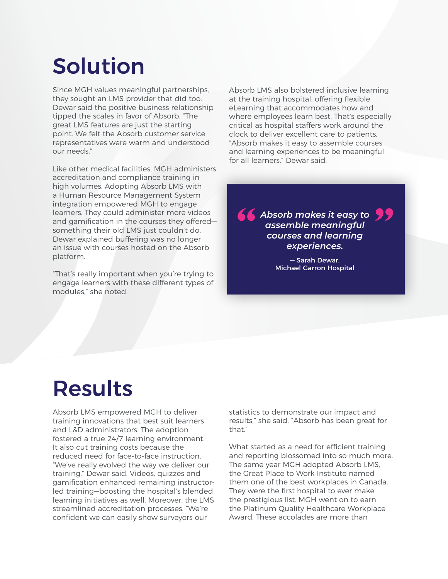## Solution

Since MGH values meaningful partnerships, they sought an LMS provider that did too. Dewar said the positive business relationship tipped the scales in favor of Absorb. "The great LMS features are just the starting point. We felt the Absorb customer service representatives were warm and understood our needs."

Like other medical facilities, MGH administers accreditation and compliance training in high volumes. Adopting Absorb LMS with a Human Resource Management System integration empowered MGH to engage learners. They could administer more videos and gamification in the courses they offered something their old LMS just couldn't do. Dewar explained buffering was no longer an issue with courses hosted on the Absorb platform.

"That's really important when you're trying to engage learners with these different types of modules," she noted.

Absorb LMS also bolstered inclusive learning at the training hospital, offering flexible eLearning that accommodates how and where employees learn best. That's especially critical as hospital staffers work around the clock to deliver excellent care to patients. "Absorb makes it easy to assemble courses and learning experiences to be meaningful for all learners," Dewar said.

*Absorb makes it easy to assemble meaningful courses and learning experiences. Solutional Absorb makes it easy to***<br>assemble meaningful<br>courses and learning<br>experiences.** 

> — Sarah Dewar, Michael Garron Hospital

### Results

Absorb LMS empowered MGH to deliver training innovations that best suit learners and L&D administrators. The adoption fostered a true 24/7 learning environment. It also cut training costs because the reduced need for face-to-face instruction. "We've really evolved the way we deliver our training," Dewar said. Videos, quizzes and gamification enhanced remaining instructorled training—boosting the hospital's blended learning initiatives as well. Moreover, the LMS streamlined accreditation processes. "We're confident we can easily show surveyors our

statistics to demonstrate our impact and results," she said. "Absorb has been great for that."

What started as a need for efficient training and reporting blossomed into so much more. The same year MGH adopted Absorb LMS, the Great Place to Work Institute named them one of the best workplaces in Canada. They were the first hospital to ever make the prestigious list. MGH went on to earn the Platinum Quality Healthcare Workplace Award. These accolades are more than